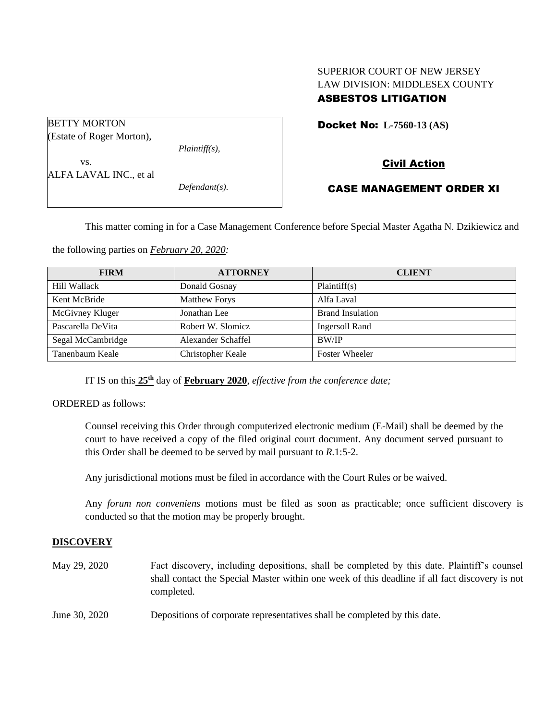## SUPERIOR COURT OF NEW JERSEY LAW DIVISION: MIDDLESEX COUNTY ASBESTOS LITIGATION

| <b>BETTY MORTON</b>       |                  |
|---------------------------|------------------|
| (Estate of Roger Morton), |                  |
|                           | $Plaintiff(s)$ , |
| VS.                       |                  |
| ALFA LAVAL INC., et al    |                  |
|                           | $Defendant(s)$ . |
|                           |                  |

## Docket No: **L-7560-13 (AS)**

# Civil Action

## CASE MANAGEMENT ORDER XI

This matter coming in for a Case Management Conference before Special Master Agatha N. Dzikiewicz and

the following parties on *February 20, 2020:*

| <b>FIRM</b>       | <b>ATTORNEY</b>      | <b>CLIENT</b>           |
|-------------------|----------------------|-------------------------|
| Hill Wallack      | Donald Gosnay        | Plaintiff(s)            |
| Kent McBride      | <b>Matthew Forys</b> | Alfa Laval              |
| McGivney Kluger   | Jonathan Lee         | <b>Brand Insulation</b> |
| Pascarella DeVita | Robert W. Slomicz    | Ingersoll Rand          |
| Segal McCambridge | Alexander Schaffel   | <b>BW/IP</b>            |
| Tanenbaum Keale   | Christopher Keale    | <b>Foster Wheeler</b>   |

IT IS on this  $25<sup>th</sup>$  day of **February 2020**, *effective from the conference date*;

ORDERED as follows:

Counsel receiving this Order through computerized electronic medium (E-Mail) shall be deemed by the court to have received a copy of the filed original court document. Any document served pursuant to this Order shall be deemed to be served by mail pursuant to *R*.1:5-2.

Any jurisdictional motions must be filed in accordance with the Court Rules or be waived.

Any *forum non conveniens* motions must be filed as soon as practicable; once sufficient discovery is conducted so that the motion may be properly brought.

### **DISCOVERY**

May 29, 2020 Fact discovery, including depositions, shall be completed by this date. Plaintiff's counsel shall contact the Special Master within one week of this deadline if all fact discovery is not completed.

June 30, 2020 Depositions of corporate representatives shall be completed by this date.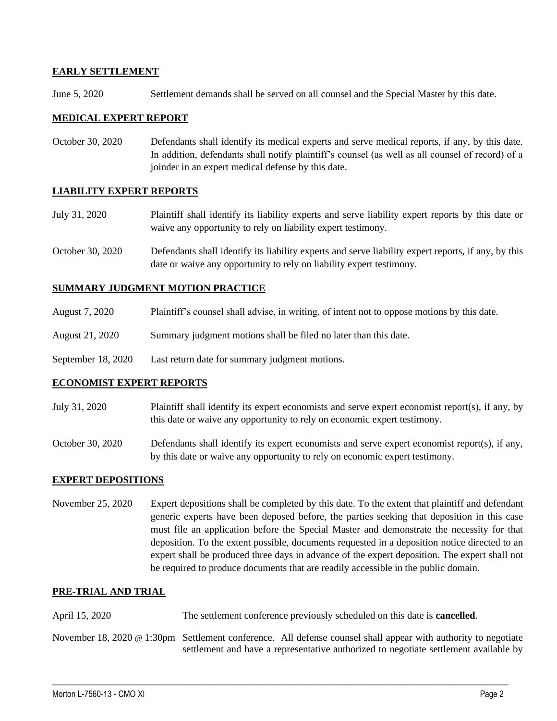## **EARLY SETTLEMENT**

June 5, 2020 Settlement demands shall be served on all counsel and the Special Master by this date.

## **MEDICAL EXPERT REPORT**

October 30, 2020 Defendants shall identify its medical experts and serve medical reports, if any, by this date. In addition, defendants shall notify plaintiff's counsel (as well as all counsel of record) of a joinder in an expert medical defense by this date.

### **LIABILITY EXPERT REPORTS**

- July 31, 2020 Plaintiff shall identify its liability experts and serve liability expert reports by this date or waive any opportunity to rely on liability expert testimony.
- October 30, 2020 Defendants shall identify its liability experts and serve liability expert reports, if any, by this date or waive any opportunity to rely on liability expert testimony.

## **SUMMARY JUDGMENT MOTION PRACTICE**

- August 7, 2020 Plaintiff's counsel shall advise, in writing, of intent not to oppose motions by this date.
- August 21, 2020 Summary judgment motions shall be filed no later than this date.
- September 18, 2020 Last return date for summary judgment motions.

### **ECONOMIST EXPERT REPORTS**

- July 31, 2020 Plaintiff shall identify its expert economists and serve expert economist report(s), if any, by this date or waive any opportunity to rely on economic expert testimony.
- October 30, 2020 Defendants shall identify its expert economists and serve expert economist report(s), if any, by this date or waive any opportunity to rely on economic expert testimony.

### **EXPERT DEPOSITIONS**

November 25, 2020 Expert depositions shall be completed by this date. To the extent that plaintiff and defendant generic experts have been deposed before, the parties seeking that deposition in this case must file an application before the Special Master and demonstrate the necessity for that deposition. To the extent possible, documents requested in a deposition notice directed to an expert shall be produced three days in advance of the expert deposition. The expert shall not be required to produce documents that are readily accessible in the public domain.

### **PRE-TRIAL AND TRIAL**

April 15, 2020 The settlement conference previously scheduled on this date is **cancelled**.

November 18, 2020 @ 1:30pm Settlement conference. All defense counsel shall appear with authority to negotiate settlement and have a representative authorized to negotiate settlement available by

 $\_$  , and the set of the set of the set of the set of the set of the set of the set of the set of the set of the set of the set of the set of the set of the set of the set of the set of the set of the set of the set of th